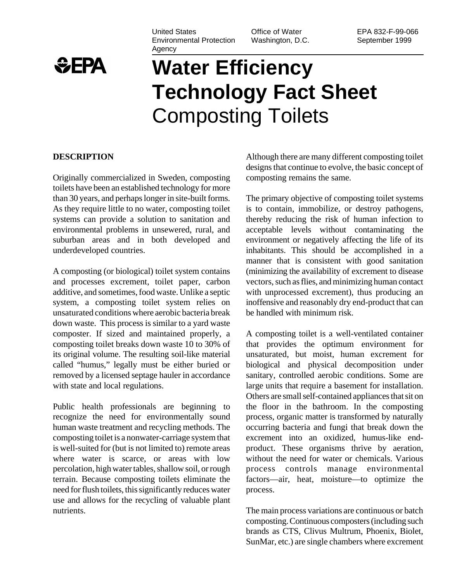

#### United States Environmental Protection Agency

Office of Water Washington, D.C.

# **Water Efficiency Technology Fact Sheet** Composting Toilets

#### **DESCRIPTION**

Originally commercialized in Sweden, composting toilets have been an established technology for more than 30 years, and perhaps longer in site-built forms. As they require little to no water, composting toilet systems can provide a solution to sanitation and environmental problems in unsewered, rural, and suburban areas and in both developed and underdeveloped countries.

A composting (or biological) toilet system contains and processes excrement, toilet paper, carbon additive, and sometimes, food waste. Unlike a septic system, a composting toilet system relies on unsaturated conditions where aerobic bacteria break down waste. This process is similar to a yard waste composter. If sized and maintained properly, a composting toilet breaks down waste 10 to 30% of its original volume. The resulting soil-like material called "humus," legally must be either buried or removed by a licensed septage hauler in accordance with state and local regulations.

Public health professionals are beginning to recognize the need for environmentally sound human waste treatment and recycling methods. The composting toilet is a nonwater-carriage system that is well-suited for (but is not limited to) remote areas where water is scarce, or areas with low percolation, high water tables, shallow soil, or rough terrain. Because composting toilets eliminate the need for flush toilets, this significantly reduces water use and allows for the recycling of valuable plant nutrients.

Although there are many different composting toilet designs that continue to evolve, the basic concept of composting remains the same.

The primary objective of composting toilet systems is to contain, immobilize, or destroy pathogens, thereby reducing the risk of human infection to acceptable levels without contaminating the environment or negatively affecting the life of its inhabitants. This should be accomplished in a manner that is consistent with good sanitation (minimizing the availability of excrement to disease vectors, such as flies, and minimizing human contact with unprocessed excrement), thus producing an inoffensive and reasonably dry end-product that can be handled with minimum risk.

A composting toilet is a well-ventilated container that provides the optimum environment for unsaturated, but moist, human excrement for biological and physical decomposition under sanitary, controlled aerobic conditions. Some are large units that require a basement for installation. Others are small self-contained appliances that sit on the floor in the bathroom. In the composting process, organic matter is transformed by naturally occurring bacteria and fungi that break down the excrement into an oxidized, humus-like endproduct. These organisms thrive by aeration, without the need for water or chemicals. Various process controls manage environmental factors—air, heat, moisture—to optimize the process.

The main process variations are continuous or batch composting. Continuous composters (including such brands as CTS, Clivus Multrum, Phoenix, Biolet, SunMar, etc.) are single chambers where excrement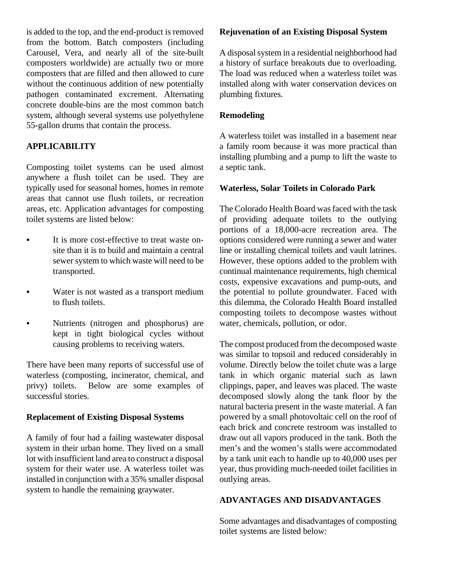is added to the top, and the end-product is removed from the bottom. Batch composters (including Carousel, Vera, and nearly all of the site-built composters worldwide) are actually two or more composters that are filled and then allowed to cure without the continuous addition of new potentially pathogen contaminated excrement. Alternating concrete double-bins are the most common batch system, although several systems use polyethylene 55-gallon drums that contain the process.

## **APPLICABILITY**

Composting toilet systems can be used almost anywhere a flush toilet can be used. They are typically used for seasonal homes, homes in remote areas that cannot use flush toilets, or recreation areas, etc. Application advantages for composting toilet systems are listed below:

- It is more cost-effective to treat waste onsite than it is to build and maintain a central sewer system to which waste will need to be transported.
- Water is not wasted as a transport medium to flush toilets.
- Nutrients (nitrogen and phosphorus) are kept in tight biological cycles without causing problems to receiving waters.

There have been many reports of successful use of waterless (composting, incinerator, chemical, and privy) toilets. Below are some examples of successful stories.

#### **Replacement of Existing Disposal Systems**

A family of four had a failing wastewater disposal system in their urban home. They lived on a small lot with insufficient land area to construct a disposal system for their water use. A waterless toilet was installed in conjunction with a 35% smaller disposal system to handle the remaining graywater.

#### **Rejuvenation of an Existing Disposal System**

A disposal system in a residential neighborhood had a history of surface breakouts due to overloading. The load was reduced when a waterless toilet was installed along with water conservation devices on plumbing fixtures.

## **Remodeling**

A waterless toilet was installed in a basement near a family room because it was more practical than installing plumbing and a pump to lift the waste to a septic tank.

## **Waterless, Solar Toilets in Colorado Park**

The Colorado Health Board was faced with the task of providing adequate toilets to the outlying portions of a 18,000-acre recreation area. The options considered were running a sewer and water line or installing chemical toilets and vault latrines. However, these options added to the problem with continual maintenance requirements, high chemical costs, expensive excavations and pump-outs, and the potential to pollute groundwater. Faced with this dilemma, the Colorado Health Board installed composting toilets to decompose wastes without water, chemicals, pollution, or odor.

The compost produced from the decomposed waste was similar to topsoil and reduced considerably in volume. Directly below the toilet chute was a large tank in which organic material such as lawn clippings, paper, and leaves was placed. The waste decomposed slowly along the tank floor by the natural bacteria present in the waste material. A fan powered by a small photovoltaic cell on the roof of each brick and concrete restroom was installed to draw out all vapors produced in the tank. Both the men's and the women's stalls were accommodated by a tank unit each to handle up to 40,000 uses per year, thus providing much-needed toilet facilities in outlying areas.

#### **ADVANTAGES AND DISADVANTAGES**

Some advantages and disadvantages of composting toilet systems are listed below: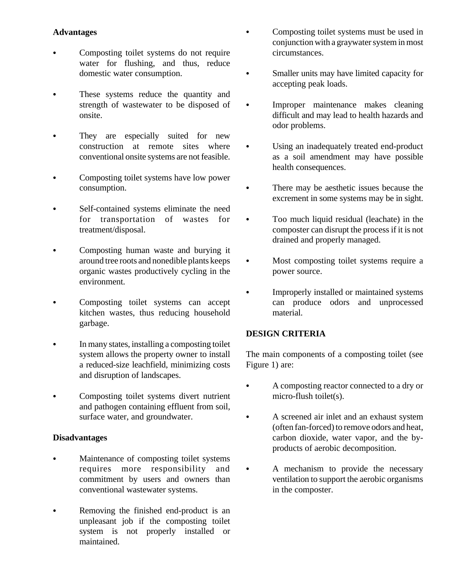## **Advantages**

- Composting toilet systems do not require water for flushing, and thus, reduce domestic water consumption.
- These systems reduce the quantity and strength of wastewater to be disposed of onsite.
- They are especially suited for new construction at remote sites where conventional onsite systems are not feasible.
- Composting toilet systems have low power consumption.
- Self-contained systems eliminate the need for transportation of wastes for treatment/disposal.
- Composting human waste and burying it around tree roots and nonedible plants keeps organic wastes productively cycling in the environment.
- Composting toilet systems can accept kitchen wastes, thus reducing household garbage.
- In many states, installing a composting toilet system allows the property owner to install a reduced-size leachfield, minimizing costs and disruption of landscapes.
- Composting toilet systems divert nutrient and pathogen containing effluent from soil, surface water, and groundwater.

## **Disadvantages**

- Maintenance of composting toilet systems requires more responsibility and commitment by users and owners than conventional wastewater systems.
- Removing the finished end-product is an unpleasant job if the composting toilet system is not properly installed or maintained.
- Composting toilet systems must be used in conjunction with a graywater system in most circumstances.
- Smaller units may have limited capacity for accepting peak loads.
- Improper maintenance makes cleaning difficult and may lead to health hazards and odor problems.
- Using an inadequately treated end-product as a soil amendment may have possible health consequences.
- There may be aesthetic issues because the excrement in some systems may be in sight.
- Too much liquid residual (leachate) in the composter can disrupt the process if it is not drained and properly managed.
- Most composting toilet systems require a power source.
- Improperly installed or maintained systems can produce odors and unprocessed material.

## **DESIGN CRITERIA**

The main components of a composting toilet (see Figure 1) are:

- A composting reactor connected to a dry or micro-flush toilet(s).
- A screened air inlet and an exhaust system (often fan-forced) to remove odors and heat, carbon dioxide, water vapor, and the byproducts of aerobic decomposition.
- A mechanism to provide the necessary ventilation to support the aerobic organisms in the composter.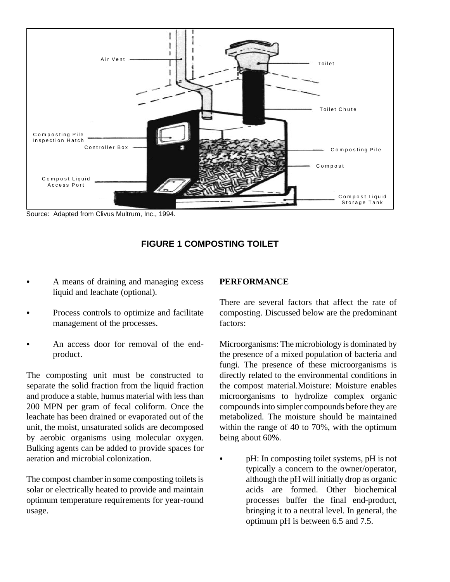

Source: Adapted from Clivus Multrum, Inc., 1994.



- A means of draining and managing excess liquid and leachate (optional).
- Process controls to optimize and facilitate management of the processes.
- An access door for removal of the endproduct.

The composting unit must be constructed to separate the solid fraction from the liquid fraction and produce a stable, humus material with less than 200 MPN per gram of fecal coliform. Once the leachate has been drained or evaporated out of the unit, the moist, unsaturated solids are decomposed by aerobic organisms using molecular oxygen. Bulking agents can be added to provide spaces for aeration and microbial colonization.

The compost chamber in some composting toilets is solar or electrically heated to provide and maintain optimum temperature requirements for year-round usage.

#### **PERFORMANCE**

There are several factors that affect the rate of composting. Discussed below are the predominant factors:

Microorganisms: The microbiology is dominated by the presence of a mixed population of bacteria and fungi. The presence of these microorganisms is directly related to the environmental conditions in the compost material.Moisture: Moisture enables microorganisms to hydrolize complex organic compounds into simpler compounds before they are metabolized. The moisture should be maintained within the range of 40 to 70%, with the optimum being about 60%.

pH: In composting toilet systems, pH is not typically a concern to the owner/operator, although the pH will initially drop as organic acids are formed. Other biochemical processes buffer the final end-product, bringing it to a neutral level. In general, the optimum pH is between 6.5 and 7.5.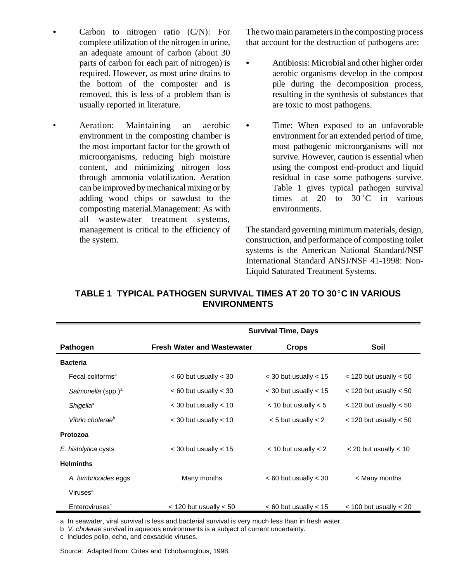- Carbon to nitrogen ratio  $(C/N)$ : For complete utilization of the nitrogen in urine, an adequate amount of carbon (about 30 parts of carbon for each part of nitrogen) is required. However, as most urine drains to the bottom of the composter and is removed, this is less of a problem than is usually reported in literature.
- Aeration: Maintaining an aerobic environment in the composting chamber is the most important factor for the growth of microorganisms, reducing high moisture content, and minimizing nitrogen loss through ammonia volatilization. Aeration can be improved by mechanical mixing or by adding wood chips or sawdust to the composting material.Management: As with all wastewater treatment systems, management is critical to the efficiency of the system.

The two main parameters in the composting process that account for the destruction of pathogens are:

- Antibiosis: Microbial and other higher order aerobic organisms develop in the compost pile during the decomposition process, resulting in the synthesis of substances that are toxic to most pathogens.
- Time: When exposed to an unfavorable environment for an extended period of time, most pathogenic microorganisms will not survive. However, caution is essential when using the compost end-product and liquid residual in case some pathogens survive. Table 1 gives typical pathogen survival times at 20 to  $30^{\circ}$ C in various environments.

The standard governing minimum materials, design, construction, and performance of composting toilet systems is the American National Standard/NSF International Standard ANSI/NSF 41-1998: Non-Liquid Saturated Treatment Systems.

|                                | <b>Survival Time, Days</b>        |                           |                            |
|--------------------------------|-----------------------------------|---------------------------|----------------------------|
| Pathogen                       | <b>Fresh Water and Wastewater</b> | <b>Crops</b>              | Soil                       |
| <b>Bacteria</b>                |                                   |                           |                            |
| Fecal coliforms <sup>a</sup>   | $< 60$ but usually $< 30$         | $<$ 30 but usually $<$ 15 | $<$ 120 but usually $<$ 50 |
| Salmonella (spp.) <sup>a</sup> | $<$ 60 but usually $<$ 30         | $<$ 30 but usually $<$ 15 | $<$ 120 but usually $<$ 50 |
| <b>Shigella</b> <sup>a</sup>   | $<$ 30 but usually $<$ 10         | $<$ 10 but usually $<$ 5  | $<$ 120 but usually $<$ 50 |
| Vibrio cholerae <sup>b</sup>   | $<$ 30 but usually $<$ 10         | $<$ 5 but usually $<$ 2   | $<$ 120 but usually $<$ 50 |
| Protozoa                       |                                   |                           |                            |
| E. histolytica cysts           | $<$ 30 but usually $<$ 15         | $<$ 10 but usually $<$ 2  | $<$ 20 but usually $<$ 10  |
| <b>Helminths</b>               |                                   |                           |                            |
| A. lumbricoides eggs           | Many months                       | $< 60$ but usually $< 30$ | < Many months              |
| Viruses <sup>a</sup>           |                                   |                           |                            |
| Enteroviruses <sup>c</sup>     | $<$ 120 but usually $<$ 50        | $< 60$ but usually $< 15$ | $<$ 100 but usually $<$ 20 |

## **TABLE 1 TYPICAL PATHOGEN SURVIVAL TIMES AT 20 TO 30 °C IN VARIOUS ENVIRONMENTS**

a In seawater, viral survival is less and bacterial survival is very much less than in fresh water.

b *V. cholerae* survival in aqueous environments is a subject of current uncertainty.

c Includes polio, echo, and coxsackie viruses.

Source: Adapted from: Crites and Tchobanoglous, 1998.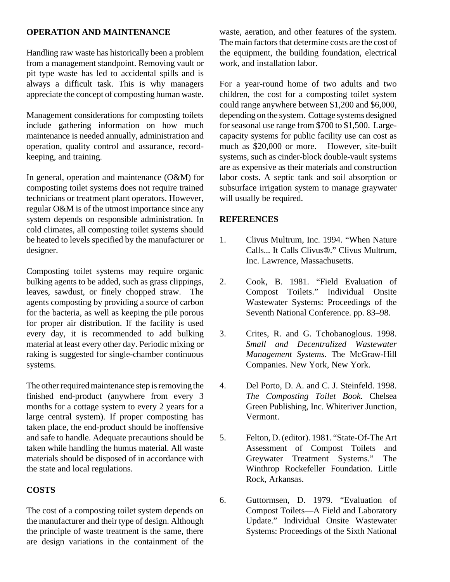## **OPERATION AND MAINTENANCE**

Handling raw waste has historically been a problem from a management standpoint. Removing vault or pit type waste has led to accidental spills and is always a difficult task. This is why managers appreciate the concept of composting human waste.

Management considerations for composting toilets include gathering information on how much maintenance is needed annually, administration and operation, quality control and assurance, recordkeeping, and training.

In general, operation and maintenance (O&M) for composting toilet systems does not require trained technicians or treatment plant operators. However, regular O&M is of the utmost importance since any system depends on responsible administration. In cold climates, all composting toilet systems should be heated to levels specified by the manufacturer or designer.

Composting toilet systems may require organic bulking agents to be added, such as grass clippings, leaves, sawdust, or finely chopped straw. The agents composting by providing a source of carbon for the bacteria, as well as keeping the pile porous for proper air distribution. If the facility is used every day, it is recommended to add bulking material at least every other day. Periodic mixing or raking is suggested for single-chamber continuous systems.

The other required maintenance step is removing the finished end-product (anywhere from every 3 months for a cottage system to every 2 years for a large central system). If proper composting has taken place, the end-product should be inoffensive and safe to handle. Adequate precautions should be taken while handling the humus material. All waste materials should be disposed of in accordance with the state and local regulations.

## **COSTS**

The cost of a composting toilet system depends on the manufacturer and their type of design. Although the principle of waste treatment is the same, there are design variations in the containment of the waste, aeration, and other features of the system. The main factors that determine costs are the cost of the equipment, the building foundation, electrical work, and installation labor.

For a year-round home of two adults and two children, the cost for a composting toilet system could range anywhere between \$1,200 and \$6,000, depending on the system. Cottage systems designed for seasonal use range from \$700 to \$1,500. Largecapacity systems for public facility use can cost as much as \$20,000 or more. However, site-built systems, such as cinder-block double-vault systems are as expensive as their materials and construction labor costs. A septic tank and soil absorption or subsurface irrigation system to manage graywater will usually be required.

## **REFERENCES**

- 1. Clivus Multrum, Inc. 1994. "When Nature Calls... It Calls Clivus®." Clivus Multrum, Inc. Lawrence, Massachusetts.
- 2. Cook, B. 1981. "Field Evaluation of Compost Toilets." Individual Onsite Wastewater Systems: Proceedings of the Seventh National Conference. pp. 83–98.
- 3. Crites, R. and G. Tchobanoglous. 1998. *Small and Decentralized Wastewater Management Systems.* The McGraw-Hill Companies. New York, New York.
- 4. Del Porto, D. A. and C. J. Steinfeld. 1998. *The Composting Toilet Book.* Chelsea Green Publishing, Inc. Whiteriver Junction, Vermont.
- 5. Felton, D. (editor). 1981. "State-Of-The Art Assessment of Compost Toilets and Greywater Treatment Systems." The Winthrop Rockefeller Foundation. Little Rock, Arkansas.
- 6. Guttormsen, D. 1979. "Evaluation of Compost Toilets—A Field and Laboratory Update." Individual Onsite Wastewater Systems: Proceedings of the Sixth National